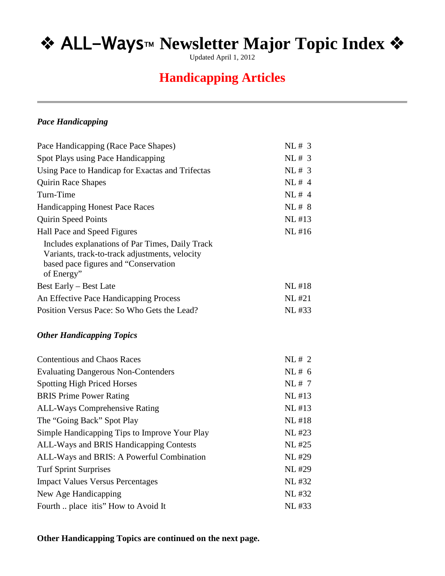Updated April 1, 2012

## **Handicapping Articles**

### *Pace Handicapping*

| Pace Handicapping (Race Pace Shapes)                                                                                                                    | NL# 3        |
|---------------------------------------------------------------------------------------------------------------------------------------------------------|--------------|
| Spot Plays using Pace Handicapping                                                                                                                      | NL#3         |
| Using Pace to Handicap for Exactas and Trifectas                                                                                                        | NL# 3        |
| Quirin Race Shapes                                                                                                                                      | NL#4         |
| Turn-Time                                                                                                                                               | NL#4         |
| <b>Handicapping Honest Pace Races</b>                                                                                                                   | NL# 8        |
| <b>Quirin Speed Points</b>                                                                                                                              | $NL$ #13     |
| Hall Pace and Speed Figures                                                                                                                             | NL #16       |
| Includes explanations of Par Times, Daily Track<br>Variants, track-to-track adjustments, velocity<br>based pace figures and "Conservation<br>of Energy" |              |
| <b>Best Early – Best Late</b>                                                                                                                           | <b>NL#18</b> |
| An Effective Pace Handicapping Process                                                                                                                  | <b>NL#21</b> |
| Position Versus Pace: So Who Gets the Lead?                                                                                                             | NL #33       |
| <b>Other Handicapping Topics</b>                                                                                                                        |              |
| <b>Contentious and Chaos Races</b>                                                                                                                      | NL# 2        |
| <b>Evaluating Dangerous Non-Contenders</b>                                                                                                              | NL# 6        |
| <b>Spotting High Priced Horses</b>                                                                                                                      | NL# 7        |
| <b>BRIS</b> Prime Power Rating                                                                                                                          | NL #13       |
| ALL-Ways Comprehensive Rating                                                                                                                           | NL #13       |
| The "Going Back" Spot Play                                                                                                                              | <b>NL#18</b> |
| Simple Handicapping Tips to Improve Your Play                                                                                                           | NL #23       |
| ALL-Ways and BRIS Handicapping Contests                                                                                                                 | NL #25       |
| ALL-Ways and BRIS: A Powerful Combination                                                                                                               | <b>NL#29</b> |
| <b>Turf Sprint Surprises</b>                                                                                                                            | <b>NL#29</b> |
| <b>Impact Values Versus Percentages</b>                                                                                                                 | NL #32       |
| New Age Handicapping                                                                                                                                    | NL #32       |
| Fourth  place itis" How to Avoid It                                                                                                                     | NL #33       |

### **Other Handicapping Topics are continued on the next page.**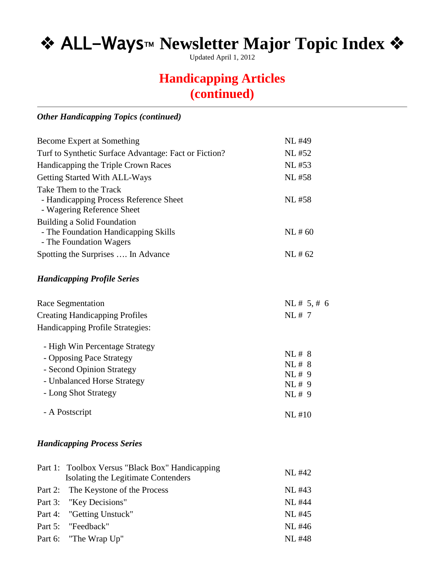Updated April 1, 2012

## **Handicapping Articles (continued)**

### *Other Handicapping Topics (continued)*

|                                                                                                | <b>NL#49</b>   |
|------------------------------------------------------------------------------------------------|----------------|
| Become Expert at Something                                                                     |                |
| Turf to Synthetic Surface Advantage: Fact or Fiction?                                          | NL #52         |
| Handicapping the Triple Crown Races                                                            | NL #53         |
| Getting Started With ALL-Ways                                                                  | <b>NL#58</b>   |
| Take Them to the Track<br>- Handicapping Process Reference Sheet<br>- Wagering Reference Sheet | NL #58         |
| <b>Building a Solid Foundation</b>                                                             |                |
| - The Foundation Handicapping Skills                                                           | NL#60          |
| - The Foundation Wagers                                                                        |                |
| Spotting the Surprises  In Advance                                                             | NL#62          |
| <b>Handicapping Profile Series</b>                                                             |                |
| Race Segmentation                                                                              | NL# 5, # 6     |
| <b>Creating Handicapping Profiles</b>                                                          | NL#7           |
| Handicapping Profile Strategies:                                                               |                |
| - High Win Percentage Strategy                                                                 |                |
| - Opposing Pace Strategy                                                                       | NL# 8<br>NL# 8 |
| - Second Opinion Strategy                                                                      | NL# 9          |
| - Unbalanced Horse Strategy                                                                    | NL# 9          |
| - Long Shot Strategy                                                                           | NL# 9          |
| - A Postscript                                                                                 | <b>NL#10</b>   |
| <b>Handicapping Process Series</b>                                                             |                |
| Part 1:<br>Toolbox Versus "Black Box" Handicapping                                             |                |
| Isolating the Legitimate Contenders                                                            | NL #42         |
| Part 2:<br>The Keystone of the Process                                                         | NL #43         |
| Part 3:<br>"Key Decisions"                                                                     | <b>NL #44</b>  |
| Part 4:<br>"Getting Unstuck"                                                                   | NL #45         |
| "Feedback"<br>Part 5:                                                                          | NL #46         |
| Part 6:<br>"The Wrap Up"                                                                       | <b>NL#48</b>   |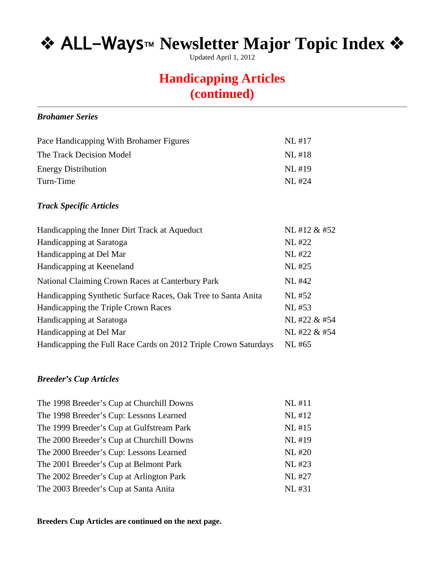Updated April 1, 2012

## **Handicapping Articles (continued)**

#### *Brohamer Series*

| NI. #17 |
|---------|
| NL #18  |
| NI. #19 |
| NI. #24 |
|         |

### *Track Specific Articles*

| Handicapping the Inner Dirt Track at Aqueduct                 | NL #12 & #52 |
|---------------------------------------------------------------|--------------|
| Handicapping at Saratoga                                      | <b>NL#22</b> |
| Handicapping at Del Mar                                       | <b>NL#22</b> |
| Handicapping at Keeneland                                     | <b>NL#25</b> |
| National Claiming Crown Races at Canterbury Park              | <b>NL#42</b> |
| Handicapping Synthetic Surface Races, Oak Tree to Santa Anita | NL #52       |
| Handicapping the Triple Crown Races                           | NL #53       |
| Handicapping at Saratoga                                      | NL #22 & #54 |
| Handicapping at Del Mar                                       | NL #22 & #54 |
|                                                               |              |

#### *Breeder's Cup Articles*

| The 1998 Breeder's Cup at Churchill Downs | NL #11       |
|-------------------------------------------|--------------|
| The 1998 Breeder's Cup: Lessons Learned   | NL #12       |
| The 1999 Breeder's Cup at Gulfstream Park | NL #15       |
| The 2000 Breeder's Cup at Churchill Downs | NL #19       |
| The 2000 Breeder's Cup: Lessons Learned   | <b>NL#20</b> |
| The 2001 Breeder's Cup at Belmont Park    | NL #23       |
| The 2002 Breeder's Cup at Arlington Park  | <b>NL#27</b> |
| The 2003 Breeder's Cup at Santa Anita     | NL #31       |

**Breeders Cup Articles are continued on the next page.**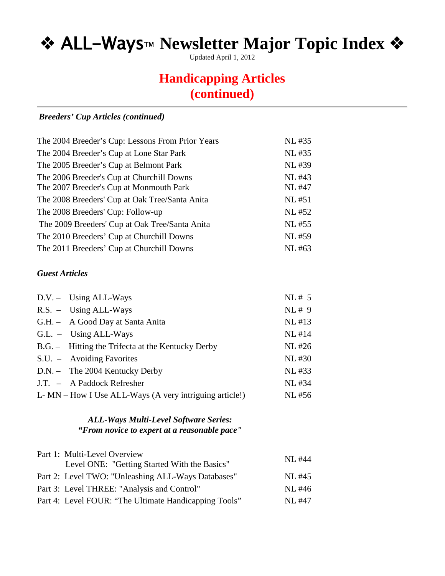Updated April 1, 2012

## **Handicapping Articles (continued)**

### *Breeders' Cup Articles (continued)*

| The 2004 Breeder's Cup: Lessons From Prior Years | NL #35       |
|--------------------------------------------------|--------------|
| The 2004 Breeder's Cup at Lone Star Park         | NL #35       |
| The 2005 Breeder's Cup at Belmont Park           | <b>NL#39</b> |
| The 2006 Breeder's Cup at Churchill Downs        | NL #43       |
| The 2007 Breeder's Cup at Monmouth Park          | <b>NL#47</b> |
| The 2008 Breeders' Cup at Oak Tree/Santa Anita   | NL #51       |
| The 2008 Breeders' Cup: Follow-up                | <b>NL#52</b> |
| The 2009 Breeders' Cup at Oak Tree/Santa Anita   | NL #55       |
| The 2010 Breeders' Cup at Churchill Downs        | <b>NL#59</b> |
| The 2011 Breeders' Cup at Churchill Downs        | NL #63       |

#### *Guest Articles*

| $D.V. - Using ALL-Ways$                                | NL# 5    |
|--------------------------------------------------------|----------|
| $R.S. - Using ALL-Ways$                                | NL#9     |
| G.H. - A Good Day at Santa Anita                       | NL #13   |
| $GL. - Using ALL-Ways$                                 | $NL$ #14 |
| B.G. - Hitting the Trifecta at the Kentucky Derby      | NL #26   |
| S.U. – Avoiding Favorites                              | NL #30   |
| $D.N. -$ The 2004 Kentucky Derby                       | NL #33   |
| J.T. – A Paddock Refresher                             | NL #34   |
| L-MN – How I Use ALL-Ways (A very intriguing article!) | NL #56   |

### *ALL-Ways Multi-Level Software Series: "From novice to expert at a reasonable pace"*

| Part 1: Multi-Level Overview                          |        |
|-------------------------------------------------------|--------|
| Level ONE: "Getting Started With the Basics"          | NL #44 |
| Part 2: Level TWO: "Unleashing ALL-Ways Databases"    | NL #45 |
| Part 3: Level THREE: "Analysis and Control"           | NL #46 |
| Part 4: Level FOUR: "The Ultimate Handicapping Tools" | NL #47 |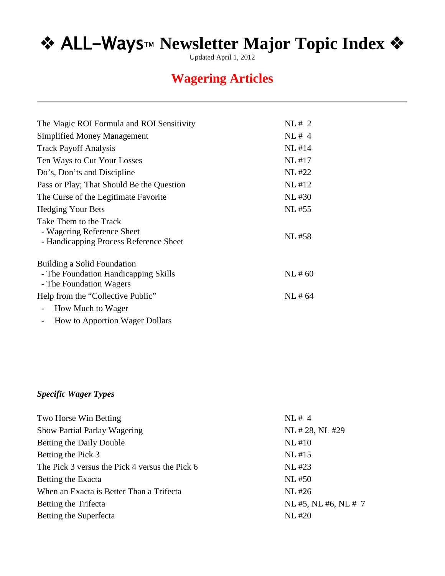Updated April 1, 2012

## **Wagering Articles**

| The Magic ROI Formula and ROI Sensitivity                                                      | NL# 2        |
|------------------------------------------------------------------------------------------------|--------------|
| <b>Simplified Money Management</b>                                                             | NL#4         |
| <b>Track Payoff Analysis</b>                                                                   | NL #14       |
| Ten Ways to Cut Your Losses                                                                    | <b>NL#17</b> |
| Do's, Don'ts and Discipline                                                                    | <b>NL#22</b> |
| Pass or Play; That Should Be the Question                                                      | NL #12       |
| The Curse of the Legitimate Favorite                                                           | NL #30       |
| <b>Hedging Your Bets</b>                                                                       | NL #55       |
| Take Them to the Track<br>- Wagering Reference Sheet<br>- Handicapping Process Reference Sheet | NL #58       |
| Building a Solid Foundation<br>- The Foundation Handicapping Skills<br>- The Foundation Wagers | NL#60        |
| Help from the "Collective Public"                                                              | NL#64        |
| How Much to Wager                                                                              |              |
| How to Apportion Wager Dollars                                                                 |              |

### *Specific Wager Types*

| NL#4                |
|---------------------|
| NL #28, NL #29      |
| <b>NL#10</b>        |
| NL #15              |
| NL #23              |
| NL #50              |
| NL #26              |
| NL #5, NL #6, NL #7 |
| <b>NL#20</b>        |
|                     |